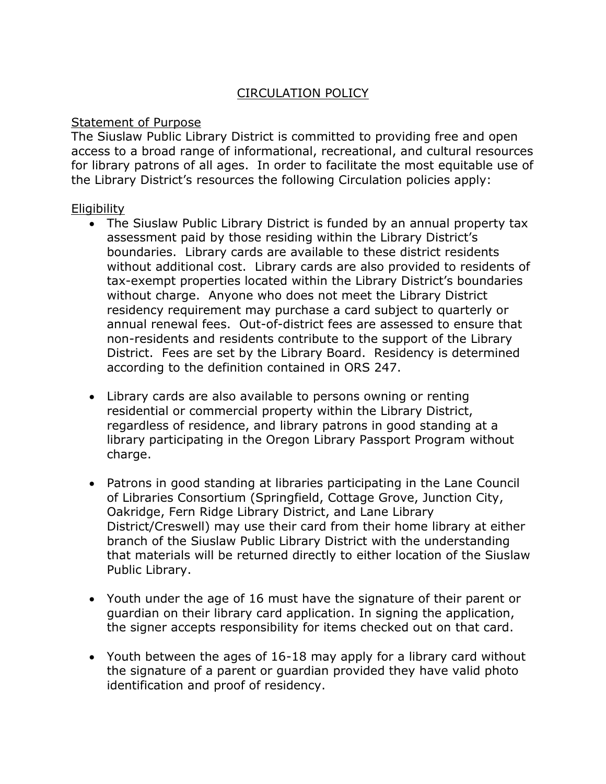## CIRCULATION POLICY

## Statement of Purpose

The Siuslaw Public Library District is committed to providing free and open access to a broad range of informational, recreational, and cultural resources for library patrons of all ages. In order to facilitate the most equitable use of the Library District's resources the following Circulation policies apply:

## **Eligibility**

- The Siuslaw Public Library District is funded by an annual property tax assessment paid by those residing within the Library District's boundaries. Library cards are available to these district residents without additional cost. Library cards are also provided to residents of tax-exempt properties located within the Library District's boundaries without charge. Anyone who does not meet the Library District residency requirement may purchase a card subject to quarterly or annual renewal fees. Out-of-district fees are assessed to ensure that non-residents and residents contribute to the support of the Library District. Fees are set by the Library Board. Residency is determined according to the definition contained in ORS 247.
- Library cards are also available to persons owning or renting residential or commercial property within the Library District, regardless of residence, and library patrons in good standing at a library participating in the Oregon Library Passport Program without charge.
- Patrons in good standing at libraries participating in the Lane Council of Libraries Consortium (Springfield, Cottage Grove, Junction City, Oakridge, Fern Ridge Library District, and Lane Library District/Creswell) may use their card from their home library at either branch of the Siuslaw Public Library District with the understanding that materials will be returned directly to either location of the Siuslaw Public Library.
- Youth under the age of 16 must have the signature of their parent or guardian on their library card application. In signing the application, the signer accepts responsibility for items checked out on that card.
- Youth between the ages of 16-18 may apply for a library card without the signature of a parent or guardian provided they have valid photo identification and proof of residency.